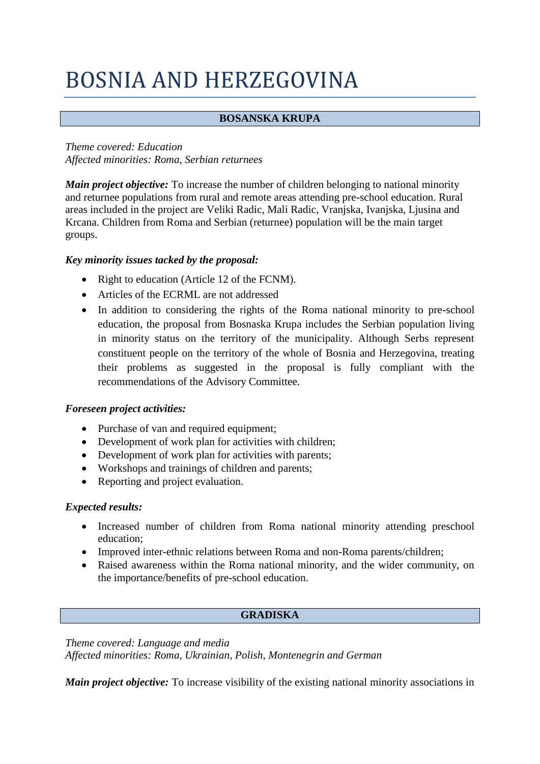# BOSNIA AND HERZEGOVINA

# **BOSANSKA KRUPA**

*Theme covered: Education Affected minorities: Roma, Serbian returnees*

*Main project objective:* To increase the number of children belonging to national minority and returnee populations from rural and remote areas attending pre-school education. Rural areas included in the project are Veliki Radic, Mali Radic, Vranjska, Ivanjska, Ljusina and Krcana. Children from Roma and Serbian (returnee) population will be the main target groups.

## *Key minority issues tacked by the proposal:*

- Right to education (Article 12 of the FCNM).
- Articles of the ECRML are not addressed
- In addition to considering the rights of the Roma national minority to pre-school education, the proposal from Bosnaska Krupa includes the Serbian population living in minority status on the territory of the municipality. Although Serbs represent constituent people on the territory of the whole of Bosnia and Herzegovina, treating their problems as suggested in the proposal is fully compliant with the recommendations of the Advisory Committee.

# *Foreseen project activities:*

- Purchase of van and required equipment;
- Development of work plan for activities with children;
- Development of work plan for activities with parents;
- Workshops and trainings of children and parents;
- Reporting and project evaluation.

#### *Expected results:*

- Increased number of children from Roma national minority attending preschool education;
- Improved inter-ethnic relations between Roma and non-Roma parents/children;
- Raised awareness within the Roma national minority, and the wider community, on the importance/benefits of pre-school education.

# **GRADISKA**

*Theme covered: Language and media Affected minorities: Roma, Ukrainian, Polish, Montenegrin and German*

*Main project objective:* To increase visibility of the existing national minority associations in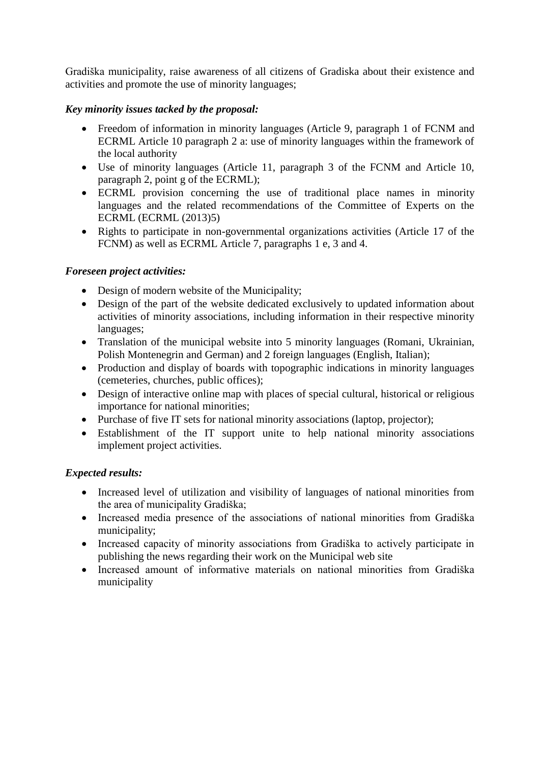Gradiška municipality, raise awareness of all citizens of Gradiska about their existence and activities and promote the use of minority languages;

# *Key minority issues tacked by the proposal:*

- Freedom of information in minority languages (Article 9, paragraph 1 of FCNM and ECRML Article 10 paragraph 2 a: use of minority languages within the framework of the local authority
- Use of minority languages (Article 11, paragraph 3 of the FCNM and Article 10, paragraph 2, point g of the ECRML);
- ECRML provision concerning the use of traditional place names in minority languages and the related recommendations of the Committee of Experts on the ECRML (ECRML (2013)5)
- Rights to participate in non-governmental organizations activities (Article 17 of the FCNM) as well as ECRML Article 7, paragraphs 1 e, 3 and 4.

# *Foreseen project activities:*

- Design of modern website of the Municipality;
- Design of the part of the website dedicated exclusively to updated information about activities of minority associations, including information in their respective minority languages;
- Translation of the municipal website into 5 minority languages (Romani, Ukrainian, Polish Montenegrin and German) and 2 foreign languages (English, Italian);
- Production and display of boards with topographic indications in minority languages (cemeteries, churches, public offices);
- Design of interactive online map with places of special cultural, historical or religious importance for national minorities;
- Purchase of five IT sets for national minority associations (laptop, projector);
- Establishment of the IT support unite to help national minority associations implement project activities.

- Increased level of utilization and visibility of languages of national minorities from the area of municipality Gradiška;
- Increased media presence of the associations of national minorities from Gradiška municipality;
- Increased capacity of minority associations from Gradiška to actively participate in publishing the news regarding their work on the Municipal web site
- Increased amount of informative materials on national minorities from Gradiška municipality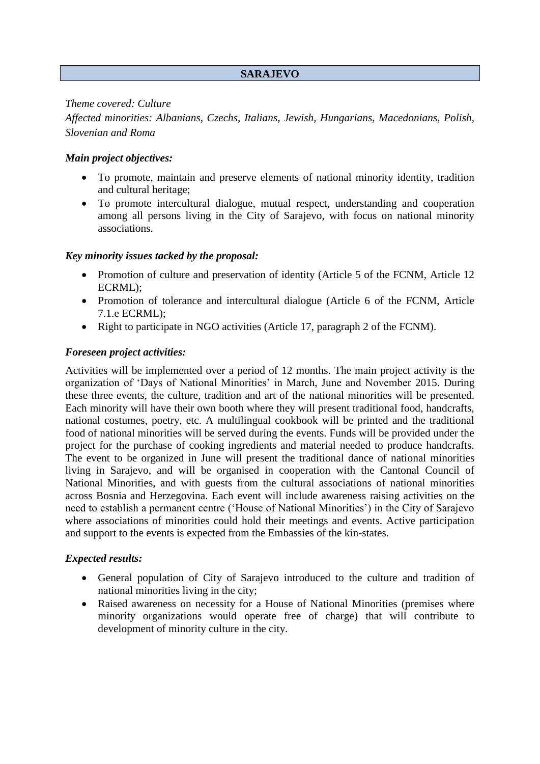## **SARAJEVO**

#### *Theme covered: Culture*

*Affected minorities: Albanians, Czechs, Italians, Jewish, Hungarians, Macedonians, Polish, Slovenian and Roma*

## *Main project objectives:*

- To promote, maintain and preserve elements of national minority identity, tradition and cultural heritage;
- To promote intercultural dialogue, mutual respect, understanding and cooperation among all persons living in the City of Sarajevo, with focus on national minority associations.

#### *Key minority issues tacked by the proposal:*

- Promotion of culture and preservation of identity (Article 5 of the FCNM, Article 12 ECRML);
- Promotion of tolerance and intercultural dialogue (Article 6 of the FCNM, Article 7.1.e ECRML);
- Right to participate in NGO activities (Article 17, paragraph 2 of the FCNM).

## *Foreseen project activities:*

Activities will be implemented over a period of 12 months. The main project activity is the organization of 'Days of National Minorities' in March, June and November 2015. During these three events, the culture, tradition and art of the national minorities will be presented. Each minority will have their own booth where they will present traditional food, handcrafts, national costumes, poetry, etc. A multilingual cookbook will be printed and the traditional food of national minorities will be served during the events. Funds will be provided under the project for the purchase of cooking ingredients and material needed to produce handcrafts. The event to be organized in June will present the traditional dance of national minorities living in Sarajevo, and will be organised in cooperation with the Cantonal Council of National Minorities, and with guests from the cultural associations of national minorities across Bosnia and Herzegovina. Each event will include awareness raising activities on the need to establish a permanent centre ('House of National Minorities') in the City of Sarajevo where associations of minorities could hold their meetings and events. Active participation and support to the events is expected from the Embassies of the kin-states.

- General population of City of Sarajevo introduced to the culture and tradition of national minorities living in the city;
- Raised awareness on necessity for a House of National Minorities (premises where minority organizations would operate free of charge) that will contribute to development of minority culture in the city.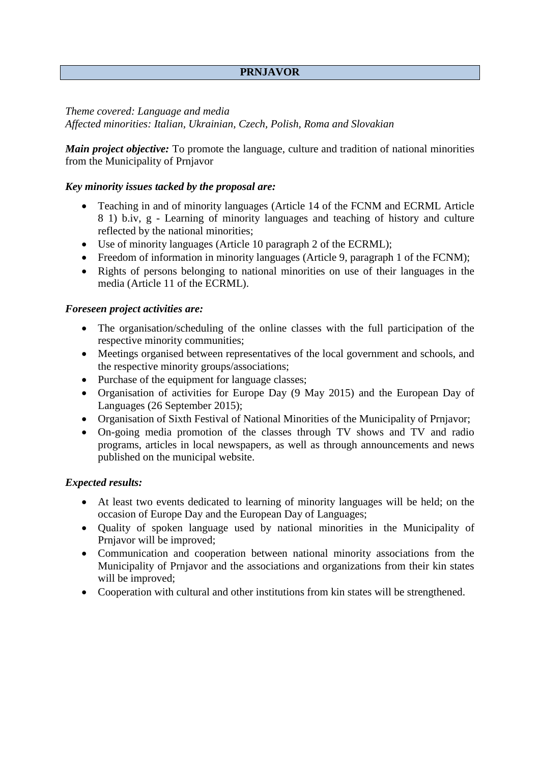# **PRNJAVOR**

*Theme covered: Language and media Affected minorities: Italian, Ukrainian, Czech, Polish, Roma and Slovakian* 

*Main project objective:* To promote the language, culture and tradition of national minorities from the Municipality of Prnjavor

#### *Key minority issues tacked by the proposal are:*

- Teaching in and of minority languages (Article 14 of the FCNM and ECRML Article 8 1) b.iv, g - Learning of minority languages and teaching of history and culture reflected by the national minorities;
- Use of minority languages (Article 10 paragraph 2 of the ECRML);
- Freedom of information in minority languages (Article 9, paragraph 1 of the FCNM);
- Rights of persons belonging to national minorities on use of their languages in the media (Article 11 of the ECRML).

## *Foreseen project activities are:*

- The organisation/scheduling of the online classes with the full participation of the respective minority communities;
- Meetings organised between representatives of the local government and schools, and the respective minority groups/associations;
- Purchase of the equipment for language classes;
- Organisation of activities for Europe Day (9 May 2015) and the European Day of Languages (26 September 2015);
- Organisation of Sixth Festival of National Minorities of the Municipality of Prnjavor;
- On-going media promotion of the classes through TV shows and TV and radio programs, articles in local newspapers, as well as through announcements and news published on the municipal website.

- At least two events dedicated to learning of minority languages will be held; on the occasion of Europe Day and the European Day of Languages;
- Quality of spoken language used by national minorities in the Municipality of Prnjavor will be improved;
- Communication and cooperation between national minority associations from the Municipality of Prnjavor and the associations and organizations from their kin states will be improved;
- Cooperation with cultural and other institutions from kin states will be strengthened.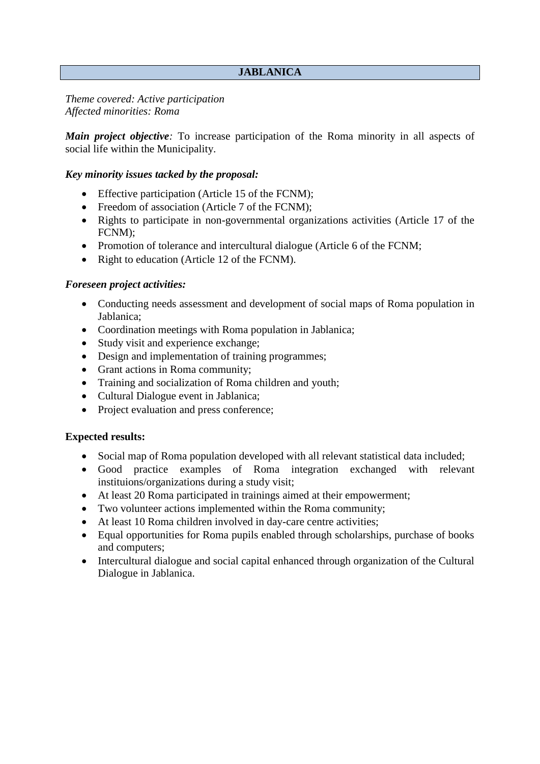# **JABLANICA**

*Theme covered: Active participation Affected minorities: Roma* 

*Main project objective*: To increase participation of the Roma minority in all aspects of social life within the Municipality.

## *Key minority issues tacked by the proposal:*

- Effective participation (Article 15 of the FCNM);
- Freedom of association (Article 7 of the FCNM):
- Rights to participate in non-governmental organizations activities (Article 17 of the FCNM);
- Promotion of tolerance and intercultural dialogue (Article 6 of the FCNM;
- Right to education (Article 12 of the FCNM).

## *Foreseen project activities:*

- Conducting needs assessment and development of social maps of Roma population in Jablanica;
- Coordination meetings with Roma population in Jablanica;
- Study visit and experience exchange;
- Design and implementation of training programmes;
- Grant actions in Roma community;
- Training and socialization of Roma children and youth;
- Cultural Dialogue event in Jablanica;
- Project evaluation and press conference;

- Social map of Roma population developed with all relevant statistical data included;
- Good practice examples of Roma integration exchanged with relevant instituions/organizations during a study visit;
- At least 20 Roma participated in trainings aimed at their empowerment;
- Two volunteer actions implemented within the Roma community;
- At least 10 Roma children involved in day-care centre activities;
- Equal opportunities for Roma pupils enabled through scholarships, purchase of books and computers;
- Intercultural dialogue and social capital enhanced through organization of the Cultural Dialogue in Jablanica.